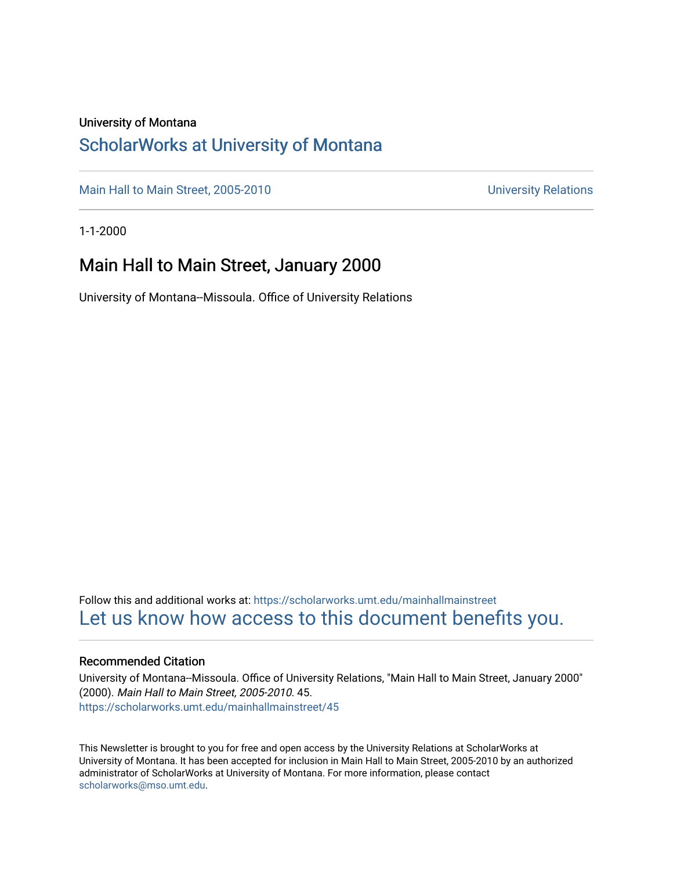#### University of Montana

### [ScholarWorks at University of Montana](https://scholarworks.umt.edu/)

[Main Hall to Main Street, 2005-2010](https://scholarworks.umt.edu/mainhallmainstreet) Main Hall to Main Street, 2005-2010

1-1-2000

### Main Hall to Main Street, January 2000

University of Montana--Missoula. Office of University Relations

Follow this and additional works at: [https://scholarworks.umt.edu/mainhallmainstreet](https://scholarworks.umt.edu/mainhallmainstreet?utm_source=scholarworks.umt.edu%2Fmainhallmainstreet%2F45&utm_medium=PDF&utm_campaign=PDFCoverPages) [Let us know how access to this document benefits you.](https://goo.gl/forms/s2rGfXOLzz71qgsB2) 

#### Recommended Citation

University of Montana--Missoula. Office of University Relations, "Main Hall to Main Street, January 2000" (2000). Main Hall to Main Street, 2005-2010. 45. [https://scholarworks.umt.edu/mainhallmainstreet/45](https://scholarworks.umt.edu/mainhallmainstreet/45?utm_source=scholarworks.umt.edu%2Fmainhallmainstreet%2F45&utm_medium=PDF&utm_campaign=PDFCoverPages) 

This Newsletter is brought to you for free and open access by the University Relations at ScholarWorks at University of Montana. It has been accepted for inclusion in Main Hall to Main Street, 2005-2010 by an authorized administrator of ScholarWorks at University of Montana. For more information, please contact [scholarworks@mso.umt.edu.](mailto:scholarworks@mso.umt.edu)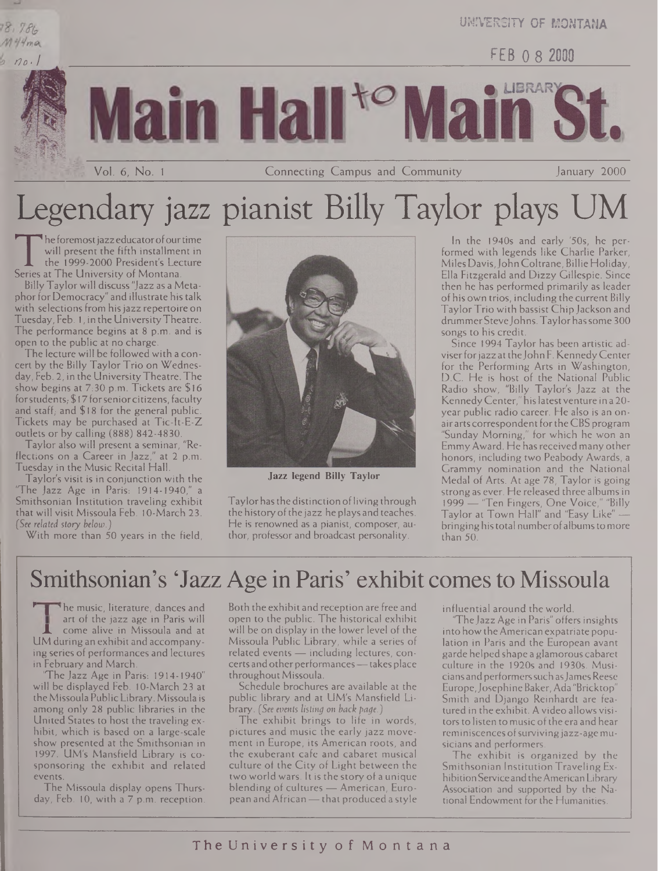### 18,786 M44ma

**UNIVERSITY OF MONTANA**

*/Io-1* FEB 0 8 2000



Vol. 6, No. <sup>1</sup> Connecting Campus and Community January 2000

# Legendary jazz pianist Billy Taylor plays UM

The foremost jazz educator of our time<br>
will present the fifth installment in<br>
the 1999-2000 President's Lecture<br>
Series at The University of Montana.<br>
Billy Taylor will discuss "lazz as a Metahe foremost jazz educator of our time will present the fifth installment in the 1999-2000 President's Lecture

Billy Taylorwill discuss "Jazz as a Metaphor for Democracy" and illustrate his talk with selections from his jazz repertoire on Tuesday, Feb. 1, in the UniversityTheatre. The performance begins at 8 p.m. and is open to the public at no charge.

The lecture will be followed with a concert by the Billy Taylor Trio on Wednesday, Feb. 2, in the UniversityTheatre. The show begins at 7:30 p.m. Tickets are \$16 for students, \$17 for senior citizens, faculty and staff, and  $$18$  for the general public. Tickets may be purchased at Tic-It-E-Z outlets or by calling (888) 842-4830.

Taylor also will present a seminar, "Reflections on a Career in Jazz," at 2 p.m. Tuesday in the Music Recital Hall.

Taylor's visit is in conjunction with the 'The Jazz Age in Paris: 1914-1940," a Smithsonian Institution traveling exhibit that will visit Missoula Feb. 10-March 23. *(See related story below.)*

With more than 50 years in the field,



**Jazz legend Billy Taylor**

Taylor has the distinction of living through the history of the jazz he plays and teaches. He is renowned as a pianist, composer, author, professor and broadcast personality.

In the 1940s and early '50s, he performed with legends like Charlie Parker, Miles Davis,John Coltrane, Billie Holiday, Ella Fitzgerald and Dizzy Gillespie. Since then he has performed primarily as leader of his own trios, including the current Billy Taylor Trio with bassist Chip Jackson and drummer Steve Johns. Taylor has some 300 songs to his credit.

Since 1994 Taylor has been artistic adviserforjazz attheJohn F. KennedyCenter for the Performing Arts in Washington, D.C. He is host of the National Public Radio show, "Billy Taylor's Jazz at the KennedyCenter," hislatestventure in a 20 year public radio career. He also is an onairarts correspondent fortheCBS program "Sunday Morning," for which he won an EmmyAward. He has received many other honors, including two Peabody Awards, a Grammy nomination and the National Medal of Arts. At age 78, Taylor is going strong as ever. He released three albums in 1999 — 'Ten Fingers, One Voice," "Billy Taylor at Town Hall" and "Easy Like" bringing his total number of albums to more than 50.

### Smithsonian's 'Jazz Age in Paris' exhibit comes to Missoula

<sup>t</sup>he music, literature, dances and art of the jazz age in Paris will come alive in Missoula and at UM during an exhibit and accompanying series of performances and lectures in February and March.

'The Jazz Age in Paris: 1914-1940" will be displayed Feb. 10-March 23 at theMissoula PublicLibrary. Missoula is among only 28 public libraries in the United States to host the traveling exhibit, which is based on a large-scale show presented at the Smithsonian in 1997. UM's Mansfield Library is cosponsoring the exhibit and related events.

The Missoula display opens Thursday, Feb. 10, with a 7 p.m. reception.

Both the exhibit and reception are free and open to the public. The historical exhibit will be on display in the lower level of the Missoula Public Library, while a series of related events — including lectures, concerts and other performances - takes place throughout Missoula.

Schedule brochures are available at the public library and at UM's Mansfield Library. *(See events listing on back page.)*

The exhibit brings to life in words, pictures and music the early jazz movement in Europe, its American roots, and the exuberant cafe and cabaret musical culture of the City of Light between the two world wars. It is the story of a unique blending of cultures — American, European andAfrican—that produced a style influential around the world.

The Jazz Age in Paris" offers insights into how the American expatriate population in Paris and the European avant garde helped shape a glamorous cabaret culture in the 1920s and 1930s. Musicians andperformerssuch asJamesReese Europe,JosephineBaker, Ada "Bricktop" Smith and Django Reinhardt are featured in the exhibit. Avideo allows visitors to listen to music of the era and hear reminiscences of surviving jazz-age musicians and performers.

The exhibit is organized by the Smithsonian Institution Traveling ExhibitionServiceandtheAmericanLibrary Association and supported by the National Endowment for the Humanities.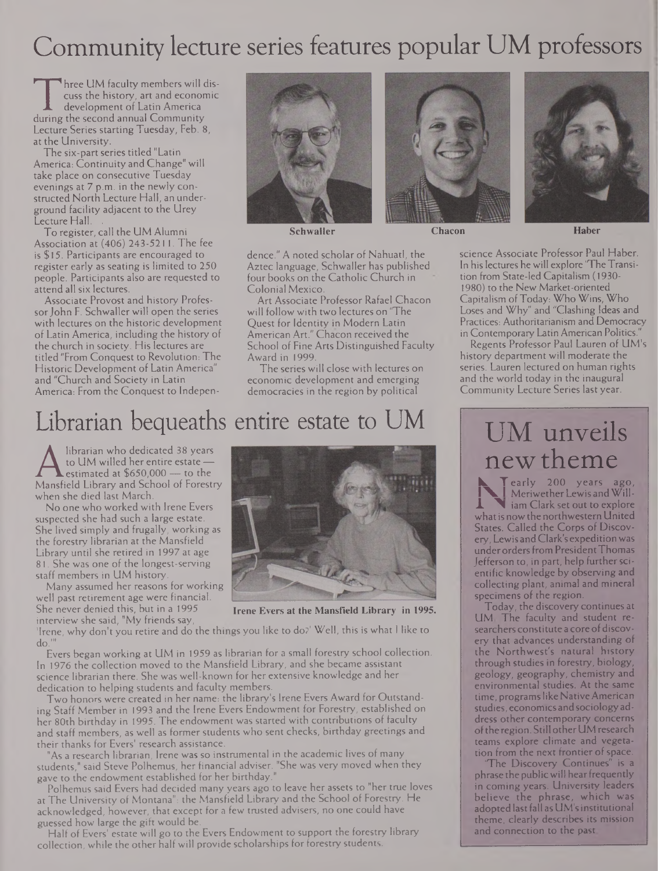## Community lecture series features popular UM professors

Three CIM faculty members will discuss the history, art and economic<br>development of Latin America<br>during the second annual Community<br>Lecture Series starting Tuesday, Feb. 8. hree UM faculty members will discuss the history, art and economic development of Latin America Lecture Series starting Tuesday, Feb. 8, at the University.

The six-part series titled "Latin America: Continuity and Change" will take place on consecutive Tuesday evenings at 7 p.m. in the newly constructed North Lecture Hall, an underground facility adjacent to the Urey Lecture Hall.

To register, call the UM Alumni Association at (406) 243-5211. The fee is \$15. Participants are encouraged to register early as seating is limited to 250 people. Participants also are requested to attend all six lectures.

Associate Provost and history Professor John F. Schwaller will open the series with lectures on the historic development of Latin America, including the history of the church in society. His lectures are titled "From Conquest to Revolution: The Historic Development of Latin America" and "Church and Society in Latin America: From the Conquest to Indepen-





dence." A noted scholar of Nahuatl, the Aztec language, Schwaller has published four books on the Catholic Church in Colonial Mexico.

Art Associate Professor Rafael Chacon will follow with two lectures on "The Quest for Identity in Modern Latin American Art." Chacon received the School of Fine Arts Distinguished Faculty Award in 1999.

The series will close with lectures on economic development and emerging democracies in the region by political

## Librarian bequeaths entire estate to UM

A to UM willed her entire estate —<br>Mansfield Library and School of Forestry<br>when she died last March librarian who dedicated 38 years to UM willed her entire estate estimated at \$650,000 — to the when she died last March.

No one who worked with Irene Evers suspected she had such a large estate. She lived simply and frugally, working as the forestry librarian at the Mansfield Library until she retired in 1997 at age 81. She was one of the longest-serving staff members in UM history.

Many assumed her reasons for working well past retirement age were financial. She never denied this, but in a 1995 interview she said, "My friends say,

'Irene, why don't you retire and do the thi gs you like to do?' Well, this is what <sup>I</sup> like to do.'"

Evers began working at UM in 1959 as librarian for a small forestry school collection. In 1976 the collection moved to the Mansfield Library, and she became assistant science librarian there. She was well-known for her extensive knowledge and her dedication to helping students and faculty members.

Two honors were created in her name: the library's Irene Evers Award for Outstanding Staff Member in 1993 and the Irene Evers Endowment for Forestry, established on her 80th birthday in 1995. The endowment was started with contributions of faculty and staff members, as well as former students who sent checks, birthday greetings and their thanks for Evers' research assistance.

"As a research librarian, Irene was so instrumental in the academic lives of many students," said Steve Polhemus, her financial adviser. "She was very moved when they gave to the endowment established for her birthday.

Polhemus said Evers had decided many years ago to leave her assets to "her true loves at The University of Montana": the Mansfield Library and the School of Forestry. He acknowledged, however, that except for a few trusted advisers, no one could have guessed how large the gift would be.

Half of Evers' estate will go to the Evers Endowment to support the forestry library collection, while the other half will provide scholarships for forestry students.



**Irene Evers at the Mansfield Library in 1995.**

**Schwaller Chacon Haber** science Associate Professor Paul Haber. In his lectures he will explore "TheTransition from State-led Capitalism (1930- 1980) to the New Market-oriented Capitalism ofToday: Who Wins, Who Loses and Why" and "Clashing Ideas and Practices: Authoritarianism and Democracy in Contemporary Latin American Politics."

Regents Professor Paul Lauren of UM's history department will moderate the series. Lauren lectured on human rights and the world today in the inaugural Community Lecture Series last year.

## UM unveils newtheme

**Ik T** early 200 years ago, **I** Meriwether Lewis and Will-**1** iam Clark set out to explore what is now the northwestern United States. Called the Corps of Discovery, Lewis andClark's expedition was under orders from President Thomas Jefferson to, in part, help further scientific knowledge by observing and collecting plant, animal and mineral specimens of the region.

Today, the discovery continues at UM The faculty and student researchers constitute a core of discovery that advances understanding of the Northwest's natural history through studies in forestry, biology, geology, geography, chemistry and environmental studies. At the same time, programslike NativeAmerican studies, economics andsociology address other contemporary concerns of the region. Still other UM research teams explore climate and vegetation from the next frontier of space.

The Discovery Continues" is a phrase the public will hear frequently in coming years. University leaders believe the phrase, which was adopted last fall as UM's institutional theme, clearly describes its mission and connection to the past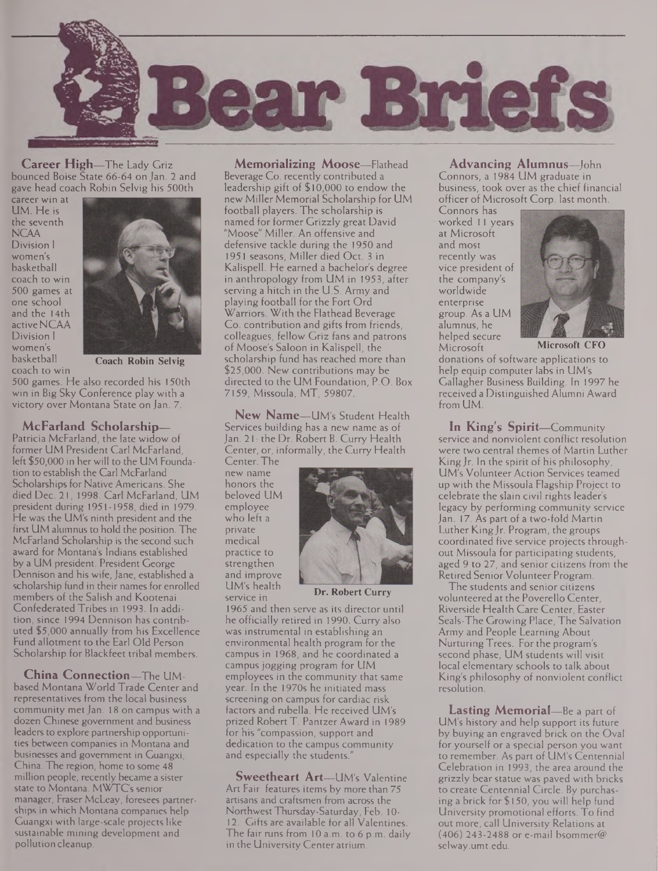

**Career High—**The Lady Griz bounced Boise State 66-64 on Jan. 2 and gave head coach Robin Selvig his 500th

career win at UM. He is the seventh **NCAA** Division <sup>I</sup> women's basketball coach to win 500 games at one school and the 14th active NCAA Division <sup>I</sup> women's basketball coach to win



**Coach Robin Selvig**

500 games. He also recorded his 150th win in Big Sky Conference play with a victory over Montana State on Jan. 7.

#### **McFarland Scholarship—**

Patricia McFarland, the late widow of former UM President Carl McFarland, left \$50,000 in herwill to the UM Foundation to establish the Carl McFarland Scholarships for Native Americans. She died Dec. 21, 1998. Carl McFarland, UM president during 1951-1958, died in 1979. He was the UM's ninth president and the first UM alumnus to hold the position. The McFarland Scholarship is the second such award for Montana's Indians established by a UM president. President George Dennison and his wife, Jane, established a scholarship fund in their names for enrolled members of the Salish and Kootenai Confederated Tribes in 1993. In addition, since 1994 Dennison has contributed \$5,000 annually from his Excellence Fund allotment to the Earl Old Person Scholarship for Blackfeet tribal members.

**China Connection—**The UMbased Montana World Trade Center and representatives from the local business community met Jan. 18 on campus with a dozen Chinese government and business leaders to explore partnership opportunities between companies in Montana and businesses and government in Guangxi, China. The region, home to some 48 million people, recently became a sister state to Montana. MWTC's senior manager, Fraser McLeay, foresees partnerships in which Montana companies help Guangxi with large-scale projects like sustainable mining development and pollution cleanup.

**Memorializing Moose—**Flathead Beverage Co. recently contributed a leadership gift of \$10,000 to endow the new Miller Memorial Scholarship for UM football players. The scholarship is named for former Grizzly great David "Moose" Miller. An offensive and defensive tackle during the 1950 and 1951 seasons, Miller died Oct. 3 in Kalispell. He earned a bachelor's degree in anthropology from UM in 1953, after serving a hitch in the U.S. Army and playing football for the Fort Ord Warriors. With the Flathead Beverage Co. contribution and gifts from friends, colleagues, fellow Griz fans and patrons of Moose's Saloon in Kalispell, the scholarship fund has reached more than \$25,000. New contributions may be directed to the UM Foundation, P.O. Box 7159, Missoula, MT, 59807.

**New Name—**UM's Student Health Services building has a new name as of Jan. 21: the Dr. Robert B. Curry Health Center, or, informally, the Curry Health

Center. The new name honors the beloved UM employee who left a private medical practice to strengthen and improve UM's health service in



**Dr. Robert Curry**

1965 and then serve as its director until he officially retired in 1990. Curry also was instrumental in establishing an environmental health program for the campus in 1968, and he coordinated a campus jogging program for UM employees in the community that same year. In the 1970s he initiated mass screening on campus for cardiac risk factors and rubella. He received UM's prized Robert T. Pantzer Award in 1989 for his "compassion, support and dedication to the campus community and especially the students."

**Sweetheart Art—**UM's Valentine Art Fair features items by more than 75 artisans and craftsmen from across the NorthwestThursday-Saturday, Feb. 10- 12. Gifts are available for all Valentines. The fair runs from 10 a.m. to 6 p.m. daily in the University Center atrium.

#### **Advancing Alumnus—**John

Connors, a 1984 UM graduate in business, took over as the chief financial officer of Microsoft Corp, last month.

Connors has worked 11 years at Microsoft and most recently was vice president of the company's worldwide enterprise group. As a UM alumnus, he helped secure<br>Microsoft



Microsoft **Microsoft CFO**

donations of software applications to help equip computer labs in UM's Gallagher Business Building. In 1997 he received a Distinguished Alumni Award from UM.

**In King's Spirit—**Community service and nonviolent conflict resolution were two central themes of Martin Luther King  $Jr$ . In the spirit of his philosophy, UM's Volunteer Action Services teamed up with the Missoula Flagship Project to celebrate the slain civil rights leader's legacy by performing community service Jan. 17. As part of a two-fold Martin Luther KingJr. Program, the groups coordinated five service projects throughout Missoula for participating students, aged 9 to 27, and senior citizens from the Retired Senior Volunteer Program.

The students and senior citizens volunteered at the Poverello Center, Riverside Health Care Center, Easter Seals-The Growing Place, The Salvation Army and People Learning About Nurturing Trees. For the program's second phase, UM students will visit local elementary schools to talk about King's philosophy of nonviolent conflict resolution.

**Lasting Memorial—**Be a part of UM's history and help support its future by buying an engraved brick on the Oval for yourself or a special person you want to remember. As part of UM's Centennial Celebration in 1993, the area around the grizzly bear statue was paved with bricks to create Centennial Circle. By purchasing a brick for \$150, you will help fund University promotional efforts. To find out more, call University Relations at  $(406)$  243-2488 or e-mail bsommer@ <selway.umt.edu>.